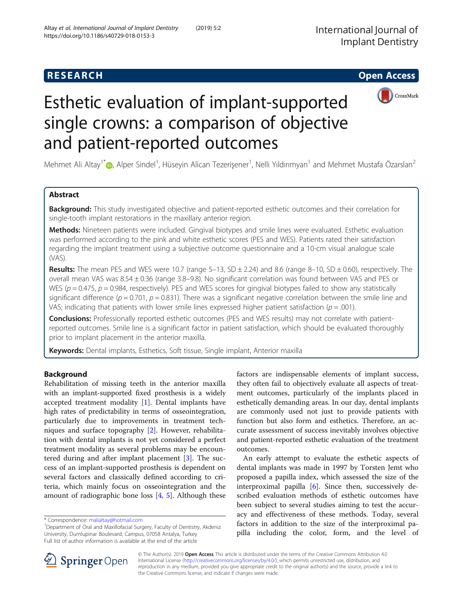

# Esthetic evaluation of implant-supported single crowns: a comparison of objective and patient-reported outcomes

Mehmet Ali Altay<sup>1[\\*](http://orcid.org/0000-0001-8886-4783)</sup>®, Alper Sindel<sup>1</sup>, Hüseyin Alican Tezerişener<sup>1</sup>, Nelli Yıldırımyan<sup>1</sup> and Mehmet Mustafa Özarslan<sup>2</sup>

# Abstract

Background: This study investigated objective and patient-reported esthetic outcomes and their correlation for single-tooth implant restorations in the maxillary anterior region.

Methods: Nineteen patients were included. Gingival biotypes and smile lines were evaluated. Esthetic evaluation was performed according to the pink and white esthetic scores (PES and WES). Patients rated their satisfaction regarding the implant treatment using a subjective outcome questionnaire and a 10-cm visual analogue scale (VAS).

Results: The mean PES and WES were 10.7 (range  $5-13$ ,  $SD \pm 2.24$ ) and 8.6 (range 8-10,  $SD \pm 0.60$ ), respectively. The overall mean VAS was 8.54 ± 0.36 (range 3.8–9.8). No significant correlation was found between VAS and PES or WES ( $p = 0.475$ ,  $p = 0.984$ , respectively). PES and WES scores for gingival biotypes failed to show any statistically significant difference ( $p = 0.701$ ,  $p = 0.831$ ). There was a significant negative correlation between the smile line and VAS; indicating that patients with lower smile lines expressed higher patient satisfaction ( $p = .001$ ).

Conclusions: Professionally reported esthetic outcomes (PES and WES results) may not correlate with patientreported outcomes. Smile line is a significant factor in patient satisfaction, which should be evaluated thoroughly prior to implant placement in the anterior maxilla.

Keywords: Dental implants, Esthetics, Soft tissue, Single implant, Anterior maxilla

# Background

Rehabilitation of missing teeth in the anterior maxilla with an implant-supported fixed prosthesis is a widely accepted treatment modality [\[1](#page-7-0)]. Dental implants have high rates of predictability in terms of osseointegration, particularly due to improvements in treatment techniques and surface topography [[2\]](#page-7-0). However, rehabilitation with dental implants is not yet considered a perfect treatment modality as several problems may be encountered during and after implant placement [\[3](#page-7-0)]. The success of an implant-supported prosthesis is dependent on several factors and classically defined according to criteria, which mainly focus on osseointegration and the amount of radiographic bone loss  $[4, 5]$  $[4, 5]$  $[4, 5]$ . Although these

\* Correspondence: [malialtay@hotmail.com](mailto:malialtay@hotmail.com) <sup>1</sup>

factors are indispensable elements of implant success, they often fail to objectively evaluate all aspects of treatment outcomes, particularly of the implants placed in esthetically demanding areas. In our day, dental implants are commonly used not just to provide patients with function but also form and esthetics. Therefore, an accurate assessment of success inevitably involves objective and patient-reported esthetic evaluation of the treatment outcomes.

An early attempt to evaluate the esthetic aspects of dental implants was made in 1997 by Torsten Jemt who proposed a papilla index, which assessed the size of the interproximal papilla  $[6]$  $[6]$ . Since then, successively described evaluation methods of esthetic outcomes have been subject to several studies aiming to test the accuracy and effectiveness of these methods. Today, several factors in addition to the size of the interproximal papilla including the color, form, and the level of



© The Author(s). 2019 Open Access This article is distributed under the terms of the Creative Commons Attribution 4.0 International License ([http://creativecommons.org/licenses/by/4.0/\)](http://creativecommons.org/licenses/by/4.0/), which permits unrestricted use, distribution, and reproduction in any medium, provided you give appropriate credit to the original author(s) and the source, provide a link to the Creative Commons license, and indicate if changes were made.

<sup>&</sup>lt;sup>1</sup>Department of Oral and Maxillofacial Surgery, Faculty of Dentistry, Akdeniz University, Dumlupinar Boulevard, Campus, 07058 Antalya, Turkey Full list of author information is available at the end of the article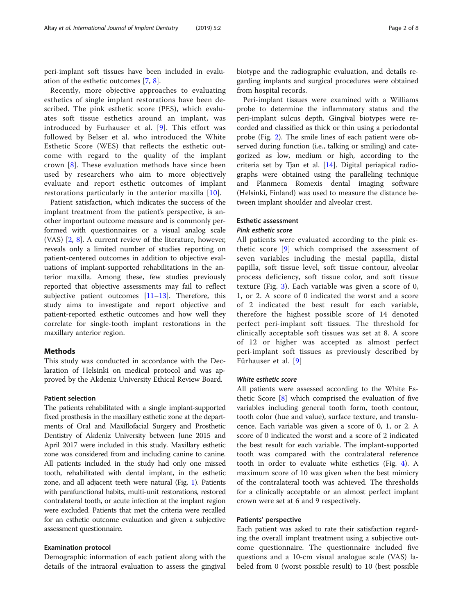peri-implant soft tissues have been included in evaluation of the esthetic outcomes [[7,](#page-7-0) [8\]](#page-7-0).

Recently, more objective approaches to evaluating esthetics of single implant restorations have been described. The pink esthetic score (PES), which evaluates soft tissue esthetics around an implant, was introduced by Furhauser et al. [[9](#page-7-0)]. This effort was followed by Belser et al. who introduced the White Esthetic Score (WES) that reflects the esthetic outcome with regard to the quality of the implant crown [\[8](#page-7-0)]. These evaluation methods have since been used by researchers who aim to more objectively evaluate and report esthetic outcomes of implant restorations particularly in the anterior maxilla [\[10\]](#page-7-0).

Patient satisfaction, which indicates the success of the implant treatment from the patient's perspective, is another important outcome measure and is commonly performed with questionnaires or a visual analog scale (VAS) [[2,](#page-7-0) [8\]](#page-7-0). A current review of the literature, however, reveals only a limited number of studies reporting on patient-centered outcomes in addition to objective evaluations of implant-supported rehabilitations in the anterior maxilla. Among these, few studies previously reported that objective assessments may fail to reflect subjective patient outcomes  $[11-13]$  $[11-13]$  $[11-13]$  $[11-13]$  $[11-13]$ . Therefore, this study aims to investigate and report objective and patient-reported esthetic outcomes and how well they correlate for single-tooth implant restorations in the maxillary anterior region.

# **Methods**

This study was conducted in accordance with the Declaration of Helsinki on medical protocol and was approved by the Akdeniz University Ethical Review Board.

# Patient selection

The patients rehabilitated with a single implant-supported fixed prosthesis in the maxillary esthetic zone at the departments of Oral and Maxillofacial Surgery and Prosthetic Dentistry of Akdeniz University between June 2015 and April 2017 were included in this study. Maxillary esthetic zone was considered from and including canine to canine. All patients included in the study had only one missed tooth, rehabilitated with dental implant, in the esthetic zone, and all adjacent teeth were natural (Fig. [1\)](#page-2-0). Patients with parafunctional habits, multi-unit restorations, restored contralateral tooth, or acute infection at the implant region were excluded. Patients that met the criteria were recalled for an esthetic outcome evaluation and given a subjective assessment questionnaire.

#### Examination protocol

Demographic information of each patient along with the details of the intraoral evaluation to assess the gingival

biotype and the radiographic evaluation, and details regarding implants and surgical procedures were obtained from hospital records.

Peri-implant tissues were examined with a Williams probe to determine the inflammatory status and the peri-implant sulcus depth. Gingival biotypes were recorded and classified as thick or thin using a periodontal probe (Fig. [2](#page-2-0)). The smile lines of each patient were observed during function (i.e., talking or smiling) and categorized as low, medium or high, according to the criteria set by Tjan et al. [[14\]](#page-7-0). Digital periapical radiographs were obtained using the paralleling technique and Planmeca Romexis dental imaging software (Helsinki, Finland) was used to measure the distance between implant shoulder and alveolar crest.

# Esthetic assessment

# Pink esthetic score

All patients were evaluated according to the pink esthetic score [[9](#page-7-0)] which comprised the assessment of seven variables including the mesial papilla, distal papilla, soft tissue level, soft tissue contour, alveolar process deficiency, soft tissue color, and soft tissue texture (Fig. [3\)](#page-3-0). Each variable was given a score of 0, 1, or 2. A score of 0 indicated the worst and a score of 2 indicated the best result for each variable, therefore the highest possible score of 14 denoted perfect peri-implant soft tissues. The threshold for clinically acceptable soft tissues was set at 8. A score of 12 or higher was accepted as almost perfect peri-implant soft tissues as previously described by Fürhauser et al. [[9](#page-7-0)]

#### White esthetic score

All patients were assessed according to the White Esthetic Score [[8\]](#page-7-0) which comprised the evaluation of five variables including general tooth form, tooth contour, tooth color (hue and value), surface texture, and translucence. Each variable was given a score of 0, 1, or 2. A score of 0 indicated the worst and a score of 2 indicated the best result for each variable. The implant-supported tooth was compared with the contralateral reference tooth in order to evaluate white esthetics (Fig. [4\)](#page-3-0). A maximum score of 10 was given when the best mimicry of the contralateral tooth was achieved. The thresholds for a clinically acceptable or an almost perfect implant crown were set at 6 and 9 respectively.

#### Patients' perspective

Each patient was asked to rate their satisfaction regarding the overall implant treatment using a subjective outcome questionnaire. The questionnaire included five questions and a 10-cm visual analogue scale (VAS) labeled from 0 (worst possible result) to 10 (best possible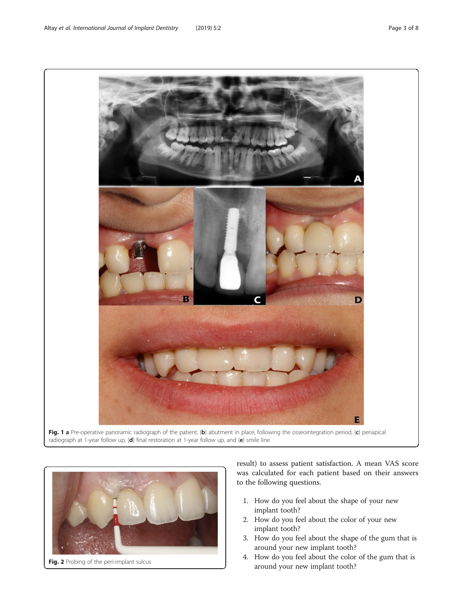# Fig. 1 a Pre-operative panoramic radiograph of the patient, (b) abutment in place, following the osseointegration period, (c) periapical radiograph at 1-year follow up,  $(d)$  final restoration at 1-year follow up, and  $(e)$  smile line



Fig. 2 Probing of the peri-implant sulcus

result) to assess patient satisfaction. A mean VAS score was calculated for each patient based on their answers to the following questions.

- 1. How do you feel about the shape of your new implant tooth?
- 2. How do you feel about the color of your new implant tooth?
- 3. How do you feel about the shape of the gum that is around your new implant tooth?
- 4. How do you feel about the color of the gum that is around your new implant tooth?

<span id="page-2-0"></span>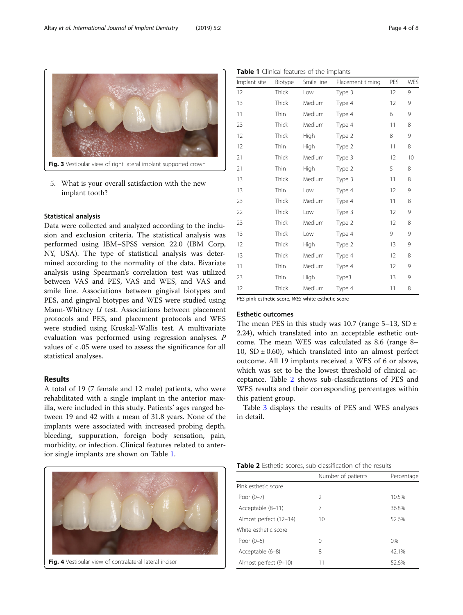<span id="page-3-0"></span>

5. What is your overall satisfaction with the new implant tooth?

### Statistical analysis

Data were collected and analyzed according to the inclusion and exclusion criteria. The statistical analysis was performed using IBM–SPSS version 22.0 (IBM Corp, NY, USA). The type of statistical analysis was determined according to the normality of the data. Bivariate analysis using Spearman's correlation test was utilized between VAS and PES, VAS and WES, and VAS and smile line. Associations between gingival biotypes and PES, and gingival biotypes and WES were studied using Mann-Whitney U test. Associations between placement protocols and PES, and placement protocols and WES were studied using Kruskal-Wallis test. A multivariate evaluation was performed using regression analyses. P values of < .05 were used to assess the significance for all statistical analyses.

# Results

A total of 19 (7 female and 12 male) patients, who were rehabilitated with a single implant in the anterior maxilla, were included in this study. Patients' ages ranged between 19 and 42 with a mean of 31.8 years. None of the implants were associated with increased probing depth, bleeding, suppuration, foreign body sensation, pain, morbidity, or infection. Clinical features related to anterior single implants are shown on Table 1.



Table 1 Clinical features of the implants

| Implant site | Smile line<br>Biotype<br>Placement timing |             | PES    | <b>WES</b> |    |
|--------------|-------------------------------------------|-------------|--------|------------|----|
| 12           | Thick                                     | Low         | Type 3 | 12         | 9  |
| 13           | Thick                                     | Medium      | Type 4 | 12         | 9  |
| 11           | Thin                                      | Medium      | Type 4 | 6          | 9  |
| 23           | Thick                                     | Medium      | Type 4 | 11         | 8  |
| 12           | Thick                                     | High        | Type 2 | 8          | 9  |
| 12           | Thin                                      | High        | Type 2 | 11         | 8  |
| 21           | Thick                                     | Medium      | Type 3 | 12         | 10 |
| 21           | Thin                                      | High        | Type 2 | 5          | 8  |
| 13           | Thick                                     | Medium      | Type 3 | 11         | 8  |
| 13           | Thin                                      | Low         | Type 4 | 12         | 9  |
| 23           | Thick                                     | Medium      | Type 4 | 11         | 8  |
| 22           | Thick                                     | Low         | Type 3 | 12         | 9  |
| 23           | Thick                                     | Medium      | Type 2 | 12         | 8  |
| 13           | Thick                                     | Low         | Type 4 | 9          | 9  |
| 12           | Thick                                     | <b>High</b> | Type 2 | 13         | 9  |
| 13           | Thick                                     | Medium      | Type 4 | 12         | 8  |
| 11           | Thin                                      | Medium      | Type 4 | 12         | 9  |
| 23           | Thin                                      | High        | Type3  | 13         | 9  |
| 12           | Thick                                     | Medium      | Type 4 | 11         | 8  |

PES pink esthetic score, WES white esthetic score

# Esthetic outcomes

The mean PES in this study was 10.7 (range  $5-13$ , SD  $\pm$ 2.24), which translated into an acceptable esthetic outcome. The mean WES was calculated as 8.6 (range 8– 10, SD  $\pm$  0.60), which translated into an almost perfect outcome. All 19 implants received a WES of 6 or above, which was set to be the lowest threshold of clinical acceptance. Table 2 shows sub-classifications of PES and WES results and their corresponding percentages within this patient group.

Table [3](#page-4-0) displays the results of PES and WES analyses in detail.

| Table 2 Esthetic scores, sub-classification of the results |  |  |
|------------------------------------------------------------|--|--|
|------------------------------------------------------------|--|--|

|                        | Number of patients | Percentage |
|------------------------|--------------------|------------|
| Pink esthetic score    |                    |            |
| Poor $(0-7)$           | 2                  | 10.5%      |
| Acceptable (8-11)      | 7                  | 36.8%      |
| Almost perfect (12-14) | 10                 | 52.6%      |
| White esthetic score   |                    |            |
| Poor $(0-5)$           | 0                  | 0%         |
| Acceptable (6–8)       | 8                  | 42.1%      |
| Almost perfect (9-10)  | 11                 | 52.6%      |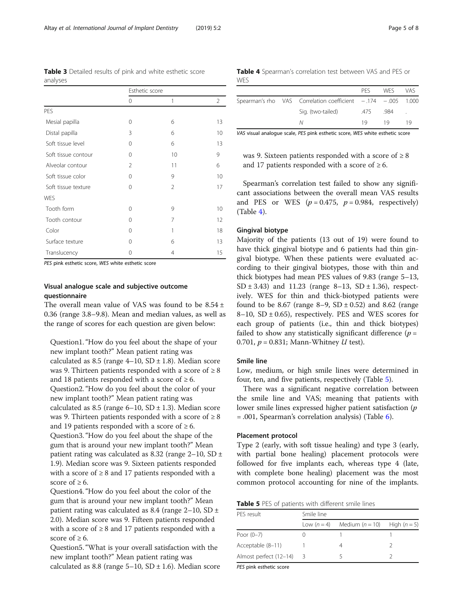<span id="page-4-0"></span>

|          | Table 3 Detailed results of pink and white esthetic score |  |  |  |
|----------|-----------------------------------------------------------|--|--|--|
| analyses |                                                           |  |  |  |

|                     | Esthetic score |                |                |  |
|---------------------|----------------|----------------|----------------|--|
|                     | $\Omega$       | 1              | $\overline{2}$ |  |
| PES                 |                |                |                |  |
| Mesial papilla      | 0              | 6              | 13             |  |
| Distal papilla      | 3              | 6              | 10             |  |
| Soft tissue level   | $\Omega$       | 6              | 13             |  |
| Soft tissue contour | $\Omega$       | 10             | 9              |  |
| Alveolar contour    | $\overline{2}$ | 11             | 6              |  |
| Soft tissue color   | $\Omega$       | 9              | 10             |  |
| Soft tissue texture | $\Omega$       | $\overline{2}$ | 17             |  |
| <b>WES</b>          |                |                |                |  |
| Tooth form          | $\Omega$       | 9              | 10             |  |
| Tooth contour       | $\Omega$       | 7              | 12             |  |
| Color               | $\Omega$       | 1              | 18             |  |
| Surface texture     | 0              | 6              | 13             |  |
| Translucency        | 0              | 4              | 15             |  |

PES pink esthetic score, WES white esthetic score

# Visual analogue scale and subjective outcome questionnaire

The overall mean value of VAS was found to be 8.54 ± 0.36 (range 3.8–9.8). Mean and median values, as well as the range of scores for each question are given below:

Question1."How do you feel about the shape of your new implant tooth?" Mean patient rating was calculated as 8.5 (range  $4-10$ , SD  $\pm$  1.8). Median score was 9. Thirteen patients responded with a score of  $\geq 8$ and 18 patients responded with a score of  $\geq 6$ . Question2."How do you feel about the color of your new implant tooth?" Mean patient rating was calculated as 8.5 (range  $6-10$ , SD  $\pm$  1.3). Median score was 9. Thirteen patients responded with a score of  $\geq 8$ and 19 patients responded with a score of  $\geq 6$ . Question3."How do you feel about the shape of the gum that is around your new implant tooth?" Mean patient rating was calculated as 8.32 (range  $2-10$ , SD  $\pm$ 1.9). Median score was 9. Sixteen patients responded with a score of  $\geq 8$  and 17 patients responded with a score of  $\geq 6$ .

Question4."How do you feel about the color of the gum that is around your new implant tooth?" Mean patient rating was calculated as 8.4 (range 2–10, SD  $\pm$ 2.0). Median score was 9. Fifteen patients responded with a score of  $\geq 8$  and 17 patients responded with a score of  $\geq 6$ .

Question5."What is your overall satisfaction with the new implant tooth?" Mean patient rating was calculated as 8.8 (range  $5-10$ , SD  $\pm$  1.6). Median score

# Table 4 Spearman's correlation test between VAS and PES or WES

|  |                                                                | PFS.      | <b>WFS</b> | <b>VAS</b> |
|--|----------------------------------------------------------------|-----------|------------|------------|
|  | Spearman's rho VAS Correlation coefficient - .174 - .005 1.000 |           |            |            |
|  | Sig. (two-tailed)                                              | .475 .984 |            |            |
|  | Ν                                                              | 1 Q       | 19         | 19         |
|  |                                                                |           |            |            |

VAS visual analogue scale, PES pink esthetic score, WES white esthetic score

was 9. Sixteen patients responded with a score of  $\geq 8$ and 17 patients responded with a score of  $\geq 6$ .

Spearman's correlation test failed to show any significant associations between the overall mean VAS results and PES or WES  $(p = 0.475, p = 0.984, respectively)$ (Table 4).

#### Gingival biotype

Majority of the patients (13 out of 19) were found to have thick gingival biotype and 6 patients had thin gingival biotype. When these patients were evaluated according to their gingival biotypes, those with thin and thick biotypes had mean PES values of 9.83 (range 5–13, SD  $\pm$  3.43) and 11.23 (range 8–13, SD  $\pm$  1.36), respectively. WES for thin and thick-biotyped patients were found to be 8.67 (range 8–9,  $SD \pm 0.52$ ) and 8.62 (range 8–10, SD  $\pm$  0.65), respectively. PES and WES scores for each group of patients (i.e., thin and thick biotypes) failed to show any statistically significant difference  $(p =$ 0.701,  $p = 0.831$ ; Mann-Whitney U test).

# Smile line

Low, medium, or high smile lines were determined in four, ten, and five patients, respectively (Table 5).

There was a significant negative correlation between the smile line and VAS; meaning that patients with lower smile lines expressed higher patient satisfaction (p = .001, Spearman's correlation analysis) (Table [6](#page-5-0)).

#### Placement protocol

Type 2 (early, with soft tissue healing) and type 3 (early, with partial bone healing) placement protocols were followed for five implants each, whereas type 4 (late, with complete bone healing) placement was the most common protocol accounting for nine of the implants.

Table 5 PES of patients with different smile lines

| PES result             | Smile line  |                   |              |  |  |
|------------------------|-------------|-------------------|--------------|--|--|
|                        | Low $(n=4)$ | Medium $(n = 10)$ | High $(n=5)$ |  |  |
| Poor (0-7)             |             |                   |              |  |  |
| Acceptable (8-11)      |             |                   |              |  |  |
| Almost perfect (12-14) | -3          |                   |              |  |  |

PES pink esthetic score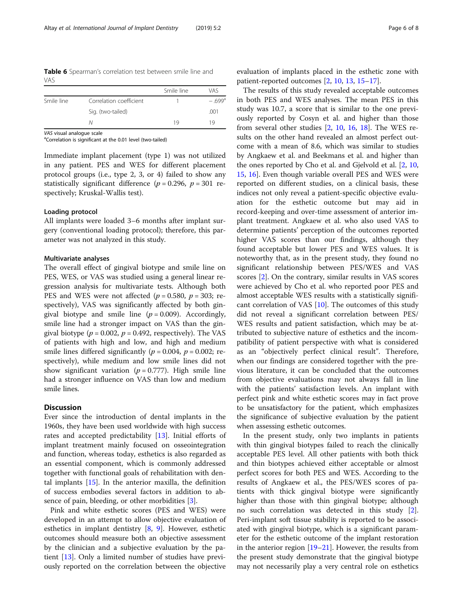<span id="page-5-0"></span>Table 6 Spearman's correlation test between smile line and VAS

|            |                         | Smile line | VAS                  |
|------------|-------------------------|------------|----------------------|
| Smile line | Correlation coefficient |            | $-.699$ <sup>a</sup> |
|            | Sig. (two-tailed)       |            | .001                 |
|            |                         | 19         | 19                   |

VAS visual analogue scale

<sup>a</sup>Correlation is significant at the 0.01 level (two-tailed)

Immediate implant placement (type 1) was not utilized in any patient. PES and WES for different placement protocol groups (i.e., type 2, 3, or 4) failed to show any statistically significant difference ( $p = 0.296$ ,  $p = 301$  respectively; Kruskal-Wallis test).

#### Loading protocol

All implants were loaded 3–6 months after implant surgery (conventional loading protocol); therefore, this parameter was not analyzed in this study.

#### Multivariate analyses

The overall effect of gingival biotype and smile line on PES, WES, or VAS was studied using a general linear regression analysis for multivariate tests. Although both PES and WES were not affected ( $p = 0.580$ ,  $p = 303$ ; respectively), VAS was significantly affected by both gingival biotype and smile line  $(p = 0.009)$ . Accordingly, smile line had a stronger impact on VAS than the gingival biotype ( $p = 0.002$ ,  $p = 0.492$ , respectively). The VAS of patients with high and low, and high and medium smile lines differed significantly ( $p = 0.004$ ,  $p = 0.002$ ; respectively), while medium and low smile lines did not show significant variation ( $p = 0.777$ ). High smile line had a stronger influence on VAS than low and medium smile lines.

# Discussion

Ever since the introduction of dental implants in the 1960s, they have been used worldwide with high success rates and accepted predictability [[13\]](#page-7-0). Initial efforts of implant treatment mainly focused on osseointegration and function, whereas today, esthetics is also regarded as an essential component, which is commonly addressed together with functional goals of rehabilitation with dental implants [\[15](#page-7-0)]. In the anterior maxilla, the definition of success embodies several factors in addition to ab-sence of pain, bleeding, or other morbidities [\[3\]](#page-7-0).

Pink and white esthetic scores (PES and WES) were developed in an attempt to allow objective evaluation of esthetics in implant dentistry [\[8](#page-7-0), [9](#page-7-0)]. However, esthetic outcomes should measure both an objective assessment by the clinician and a subjective evaluation by the patient [\[13](#page-7-0)]. Only a limited number of studies have previously reported on the correlation between the objective evaluation of implants placed in the esthetic zone with patient-reported outcomes [[2,](#page-7-0) [10,](#page-7-0) [13,](#page-7-0) [15](#page-7-0)–[17](#page-7-0)].

The results of this study revealed acceptable outcomes in both PES and WES analyses. The mean PES in this study was 10.7, a score that is similar to the one previously reported by Cosyn et al. and higher than those from several other studies [[2,](#page-7-0) [10,](#page-7-0) [16](#page-7-0), [18](#page-7-0)]. The WES results on the other hand revealed an almost perfect outcome with a mean of 8.6, which was similar to studies by Angkaew et al. and Beekmans et al. and higher than the ones reported by Cho et al. and Gjelvold et al. [[2](#page-7-0), [10](#page-7-0), [15,](#page-7-0) [16\]](#page-7-0). Even though variable overall PES and WES were reported on different studies, on a clinical basis, these indices not only reveal a patient-specific objective evaluation for the esthetic outcome but may aid in record-keeping and over-time assessment of anterior implant treatment. Angkaew et al. who also used VAS to determine patients' perception of the outcomes reported higher VAS scores than our findings, although they found acceptable but lower PES and WES values. It is noteworthy that, as in the present study, they found no significant relationship between PES/WES and VAS scores [\[2\]](#page-7-0). On the contrary, similar results in VAS scores were achieved by Cho et al. who reported poor PES and almost acceptable WES results with a statistically significant correlation of VAS  $[10]$  $[10]$ . The outcomes of this study did not reveal a significant correlation between PES/ WES results and patient satisfaction, which may be attributed to subjective nature of esthetics and the incompatibility of patient perspective with what is considered as an "objectively perfect clinical result". Therefore, when our findings are considered together with the previous literature, it can be concluded that the outcomes from objective evaluations may not always fall in line with the patients' satisfaction levels. An implant with perfect pink and white esthetic scores may in fact prove to be unsatisfactory for the patient, which emphasizes the significance of subjective evaluation by the patient when assessing esthetic outcomes.

In the present study, only two implants in patients with thin gingival biotypes failed to reach the clinically acceptable PES level. All other patients with both thick and thin biotypes achieved either acceptable or almost perfect scores for both PES and WES. According to the results of Angkaew et al., the PES/WES scores of patients with thick gingival biotype were significantly higher than those with thin gingival biotype; although no such correlation was detected in this study [\[2](#page-7-0)]. Peri-implant soft tissue stability is reported to be associated with gingival biotype, which is a significant parameter for the esthetic outcome of the implant restoration in the anterior region [[19](#page-7-0)–[21](#page-7-0)]. However, the results from the present study demonstrate that the gingival biotype may not necessarily play a very central role on esthetics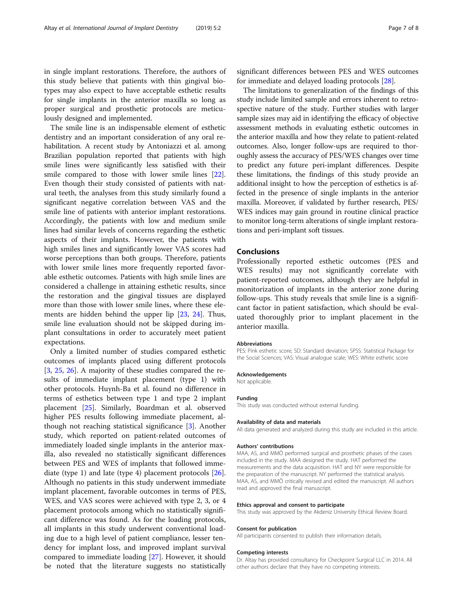in single implant restorations. Therefore, the authors of this study believe that patients with thin gingival biotypes may also expect to have acceptable esthetic results for single implants in the anterior maxilla so long as proper surgical and prosthetic protocols are meticulously designed and implemented.

The smile line is an indispensable element of esthetic dentistry and an important consideration of any oral rehabilitation. A recent study by Antoniazzi et al. among Brazilian population reported that patients with high smile lines were significantly less satisfied with their smile compared to those with lower smile lines [\[22](#page-7-0)]. Even though their study consisted of patients with natural teeth, the analyses from this study similarly found a significant negative correlation between VAS and the smile line of patients with anterior implant restorations. Accordingly, the patients with low and medium smile lines had similar levels of concerns regarding the esthetic aspects of their implants. However, the patients with high smiles lines and significantly lower VAS scores had worse perceptions than both groups. Therefore, patients with lower smile lines more frequently reported favorable esthetic outcomes. Patients with high smile lines are considered a challenge in attaining esthetic results, since the restoration and the gingival tissues are displayed more than those with lower smile lines, where these elements are hidden behind the upper lip [\[23](#page-7-0), [24\]](#page-7-0). Thus, smile line evaluation should not be skipped during implant consultations in order to accurately meet patient expectations.

Only a limited number of studies compared esthetic outcomes of implants placed using different protocols [[3,](#page-7-0) [25](#page-7-0), [26](#page-7-0)]. A majority of these studies compared the results of immediate implant placement (type 1) with other protocols. Huynh-Ba et al. found no difference in terms of esthetics between type 1 and type 2 implant placement [[25](#page-7-0)]. Similarly, Boardman et al. observed higher PES results following immediate placement, although not reaching statistical significance [\[3](#page-7-0)]. Another study, which reported on patient-related outcomes of immediately loaded single implants in the anterior maxilla, also revealed no statistically significant differences between PES and WES of implants that followed immediate (type 1) and late (type 4) placement protocols [\[26](#page-7-0)]. Although no patients in this study underwent immediate implant placement, favorable outcomes in terms of PES, WES, and VAS scores were achieved with type 2, 3, or 4 placement protocols among which no statistically significant difference was found. As for the loading protocols, all implants in this study underwent conventional loading due to a high level of patient compliance, lesser tendency for implant loss, and improved implant survival compared to immediate loading [[27](#page-7-0)]. However, it should be noted that the literature suggests no statistically

significant differences between PES and WES outcomes for immediate and delayed loading protocols [[28\]](#page-7-0).

The limitations to generalization of the findings of this study include limited sample and errors inherent to retrospective nature of the study. Further studies with larger sample sizes may aid in identifying the efficacy of objective assessment methods in evaluating esthetic outcomes in the anterior maxilla and how they relate to patient-related outcomes. Also, longer follow-ups are required to thoroughly assess the accuracy of PES/WES changes over time to predict any future peri-implant differences. Despite these limitations, the findings of this study provide an additional insight to how the perception of esthetics is affected in the presence of single implants in the anterior maxilla. Moreover, if validated by further research, PES/ WES indices may gain ground in routine clinical practice to monitor long-term alterations of single implant restorations and peri-implant soft tissues.

#### Conclusions

Professionally reported esthetic outcomes (PES and WES results) may not significantly correlate with patient-reported outcomes, although they are helpful in monitorization of implants in the anterior zone during follow-ups. This study reveals that smile line is a significant factor in patient satisfaction, which should be evaluated thoroughly prior to implant placement in the anterior maxilla.

#### Abbreviations

PES: Pink esthetic score; SD: Standard deviation; SPSS: Statistical Package for the Social Sciences; VAS: Visual analogue scale; WES: White esthetic score

# Acknowledgements

Not applicable.

#### Funding

This study was conducted without external funding.

#### Availability of data and materials

All data generated and analyzed during this study are included in this article.

#### Authors' contributions

MAA, AS, and MMÖ performed surgical and prosthetic phases of the cases included in the study. MAA designed the study. HAT performed the measurements and the data acquisition. HAT and NY were responsible for the preparation of the manuscript. NY performed the statistical analysis. MAA, AS, and MMÖ critically revised and edited the manuscript. All authors read and approved the final manuscript.

#### Ethics approval and consent to participate

This study was approved by the Akdeniz University Ethical Review Board.

#### Consent for publication

All participants consented to publish their information details.

#### Competing interests

Dr. Altay has provided consultancy for Checkpoint Surgical LLC in 2014. All other authors declare that they have no competing interests.